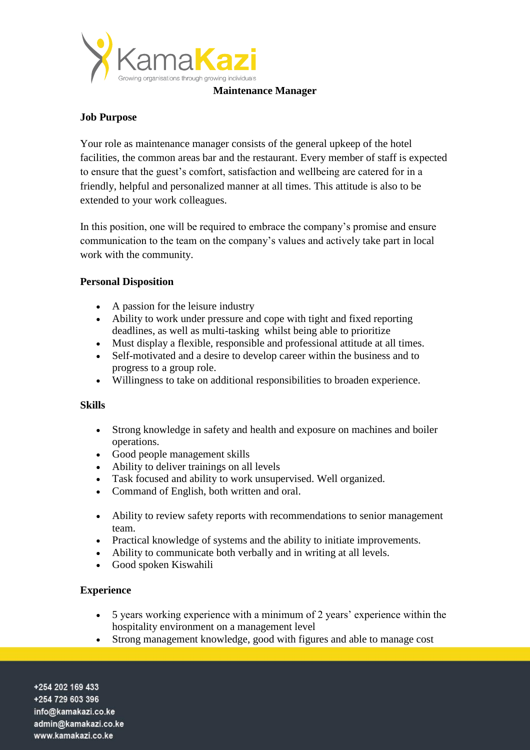

#### **Maintenance Manager**

# **Job Purpose**

Your role as maintenance manager consists of the general upkeep of the hotel facilities, the common areas bar and the restaurant. Every member of staff is expected to ensure that the guest's comfort, satisfaction and wellbeing are catered for in a friendly, helpful and personalized manner at all times. This attitude is also to be extended to your work colleagues.

In this position, one will be required to embrace the company's promise and ensure communication to the team on the company's values and actively take part in local work with the community.

# **Personal Disposition**

- A passion for the leisure industry
- Ability to work under pressure and cope with tight and fixed reporting deadlines, as well as multi-tasking whilst being able to prioritize
- Must display a flexible, responsible and professional attitude at all times.
- Self-motivated and a desire to develop career within the business and to progress to a group role.
- Willingness to take on additional responsibilities to broaden experience.

### **Skills**

- Strong knowledge in safety and health and exposure on machines and boiler operations.
- Good people management skills
- Ability to deliver trainings on all levels
- Task focused and ability to work unsupervised. Well organized.
- Command of English, both written and oral.
- Ability to review safety reports with recommendations to senior management team.
- Practical knowledge of systems and the ability to initiate improvements.
- Ability to communicate both verbally and in writing at all levels.
- Good spoken Kiswahili

### **Experience**

- 5 years working experience with a minimum of 2 years' experience within the hospitality environment on a management level
- Strong management knowledge, good with figures and able to manage cost

+254 202 169 433 +254 729 603 396 info@kamakazi.co.ke admin@kamakazi.co.ke www.kamakazi.co.ke